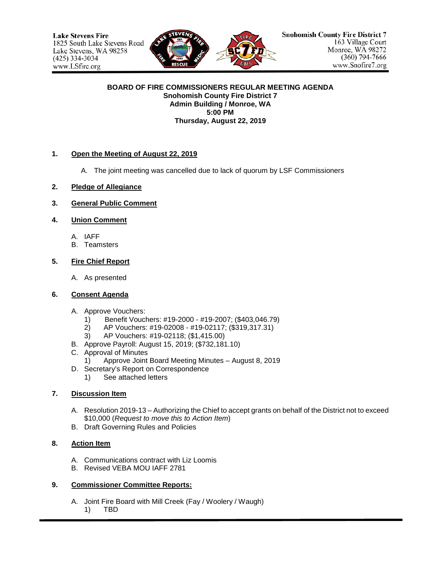

#### **BOARD OF FIRE COMMISSIONERS REGULAR MEETING AGENDA Snohomish County Fire District 7 Admin Building / Monroe, WA 5:00 PM Thursday, August 22, 2019**

### **1. Open the Meeting of August 22, 2019**

- A. The joint meeting was cancelled due to lack of quorum by LSF Commissioners
- **2. Pledge of Allegiance**
- **3. General Public Comment**

### **4. Union Comment**

- A. IAFF
- B. Teamsters

#### **5. Fire Chief Report**

A. As presented

#### **6. Consent Agenda**

- A. Approve Vouchers:
	- 1) Benefit Vouchers: #19-2000 #19-2007; (\$403,046.79)
	- 2) AP Vouchers: #19-02008 #19-02117; (\$319,317.31)
	- 3) AP Vouchers: #19-02118; (\$1,415.00)
- B. Approve Payroll: August 15, 2019; (\$732,181.10)
- C. Approval of Minutes
	- 1) Approve Joint Board Meeting Minutes August 8, 2019
- D. Secretary's Report on Correspondence
	- 1) See attached letters

## **7. Discussion Item**

- A. Resolution 2019-13 Authorizing the Chief to accept grants on behalf of the District not to exceed \$10,000 (*Request to move this to Action Item*)
- B. Draft Governing Rules and Policies

#### **8. Action Item**

- A. Communications contract with Liz Loomis
- B. Revised VEBA MOU IAFF 2781

#### **9. Commissioner Committee Reports:**

- A. Joint Fire Board with Mill Creek (Fay / Woolery / Waugh)
	- 1) TBD